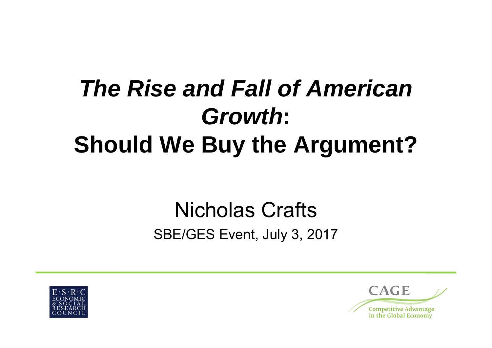# *The Rise and Fall of American Growth***: Should We Buy the Argument?**

### Nicholas CraftsSBE/GES Event, July 3, 2017



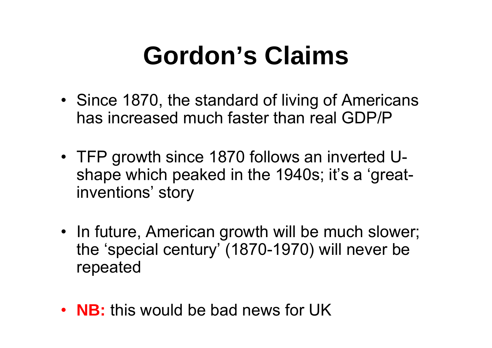# **Gordon's Claims**

- Since 1870, the standard of living of Americans has increased much faster than real GDP/P
- TFP growth since 1870 follows an inverted Ushape which peaked in the 1940s; it's a 'greatinventions' story
- In future, American growth will be much slower; the 'special century' (1870-1970) will never be repeated
- **NB:** this would be bad news for UK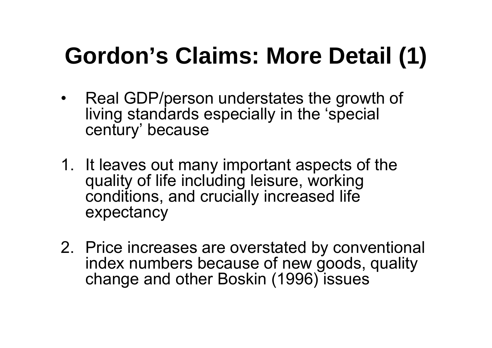# **Gordon's Claims: More Detail (1)**

- Real GDP/person understates the growth of living standards especially in the 'special century' because
- 1. It leaves out many important aspects of the quality of life including leisure, working conditions, and crucially increased life expectancy
- 2. Price increases are overstated by conventional index numbers because of new goods, quality change and other Boskin (1996) issues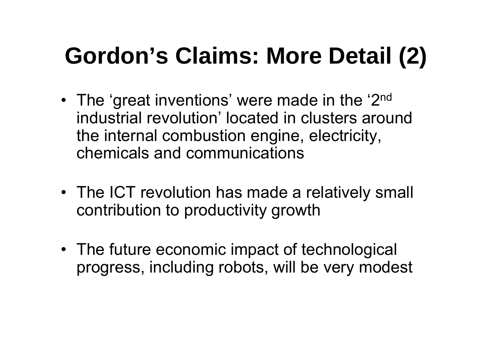# **Gordon's Claims: More Detail (2)**

- •The 'great inventions' were made in the '2<sup>nd</sup> industrial revolution' located in clusters around the internal combustion engine, electricity, chemicals and communications
- The ICT revolution has made a relatively small contribution to productivity growth
- The future economic impact of technological progress, including robots, will be very modest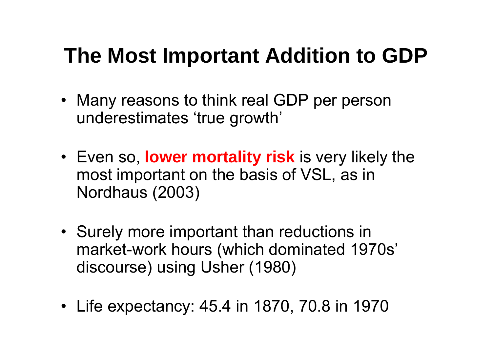### **The Most Important Addition to GDP**

- Many reasons to think real GDP per person underestimates 'true growth'
- Even so, **lower mortality risk** is very likely the most important on the basis of VSL, as in Nordhaus (2003)
- Surely more important than reductions in market-work hours (which dominated 1970s' discourse) using Usher (1980)
- Life expectancy: 45.4 in 1870, 70.8 in 1970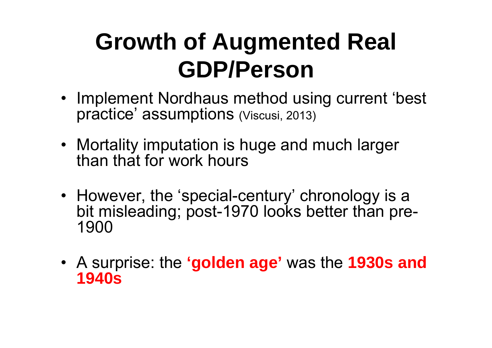### **Growth of Augmented Real GDP/Person**

- Implement Nordhaus method using current 'best practice' assumptions (Viscusi, 2013)
- Mortality imputation is huge and much larger than that for work hours
- However, the 'special-century' chronology is a bit misleading; post-1970 looks better than pre-1900
- A surprise: the **'golden age'** was the **1930s and 1940s**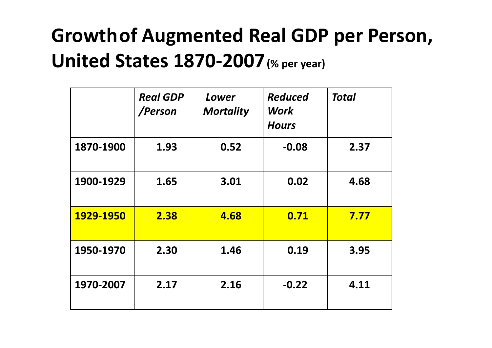### **Growthof Augmented Real GDP per Person, United States 1870‐2007(% per year)**

|           | <b>Real GDP</b><br>/Person | Lower<br><b>Mortality</b> | <b>Reduced</b><br>Work<br><b>Hours</b> | Total |
|-----------|----------------------------|---------------------------|----------------------------------------|-------|
| 1870-1900 | 1.93                       | 0.52                      | $-0.08$                                | 2.37  |
| 1900-1929 | 1.65                       | 3.01                      | 0.02                                   | 4.68  |
| 1929-1950 | 2.38                       | 4.68                      | 0.71                                   | 7.77  |
| 1950-1970 | 2.30                       | 1.46                      | 0.19                                   | 3.95  |
| 1970-2007 | 2.17                       | 2.16                      | $-0.22$                                | 4.11  |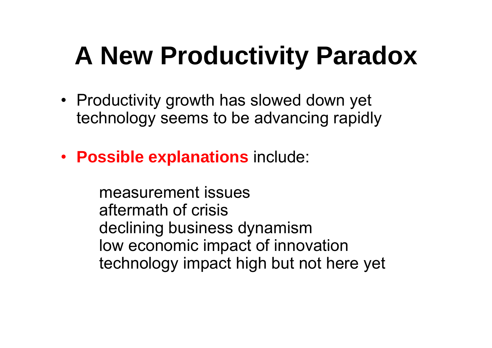# **A New Productivity Paradox**

- Productivity growth has slowed down yet technology seems to be advancing rapidly
- **Possible explanations** include:

measurement issuesaftermath of crisisdeclining business dynamism low economic impact of innovation technology impact high but not here yet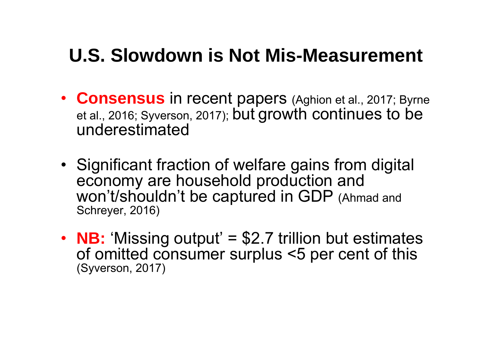#### **U.S. Slowdown is Not Mis-Measurement**

- **Consensus** in recent papers (Aghion et al., 2017; Byrne et al., 2016; Syverson, 2017); but growth continues to be underestimated
- Significant fraction of welfare gains from digital economy are household production and won't/shouldn't be captured in GDP (Ahmad and Schreyer, 2016)
- • **NB:** 'Missing output' = \$2.7 trillion but estimates of omitted consumer surplus <5 per cent of this (Syverson, 2017)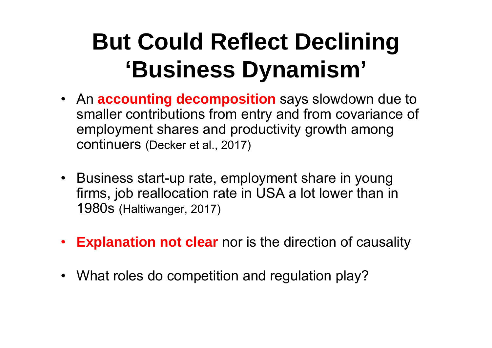## **But Could Reflect Declining 'Business Dynamism'**

- An **accounting decomposition** says slowdown due to smaller contributions from entry and from covariance of employment shares and productivity growth among continuers (Decker et al., 2017)
- Business start-up rate, employment share in young firms, job reallocation rate in USA a lot lower than in 1980s (Haltiwanger, 2017)
- •**Explanation not clear** nor is the direction of causality
- What roles do competition and regulation play?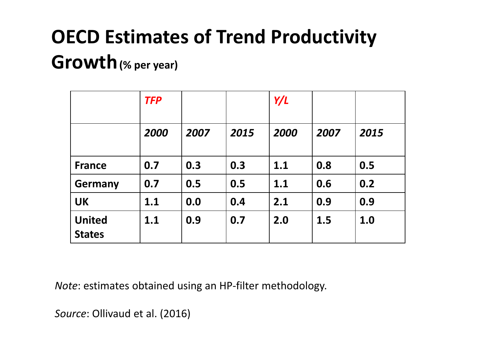### **OECD Estimates of Trend Productivity**

#### **Growth(% per year)**

|                                | <b>TFP</b> |      |      | Y/L  |      |      |
|--------------------------------|------------|------|------|------|------|------|
|                                | 2000       | 2007 | 2015 | 2000 | 2007 | 2015 |
| <b>France</b>                  | 0.7        | 0.3  | 0.3  | 1.1  | 0.8  | 0.5  |
| <b>Germany</b>                 | 0.7        | 0.5  | 0.5  | 1.1  | 0.6  | 0.2  |
| <b>UK</b>                      | 1.1        | 0.0  | 0.4  | 2.1  | 0.9  | 0.9  |
| <b>United</b><br><b>States</b> | 1.1        | 0.9  | 0.7  | 2.0  | 1.5  | 1.0  |

*Note*: estimates obtained using an HP‐filter methodology.

*Source*: Ollivaud et al. (2016)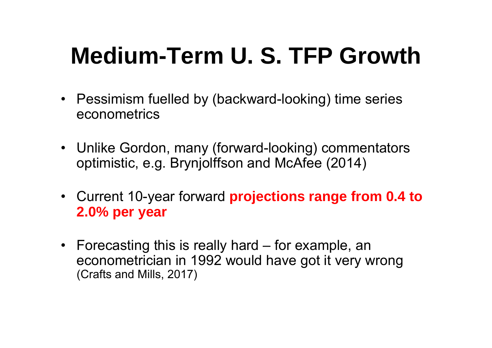# **Medium-Term U. S. TFP Growth**

- Pessimism fuelled by (backward-looking) time series econometrics
- Unlike Gordon, many (forward-looking) commentators optimistic, e.g. Brynjolffson and McAfee (2014)
- Current 10-year forward **projections range from 0.4 to 2.0% per year**
- Forecasting this is really hard for example, an econometrician in 1992 would have got it very wrong (Crafts and Mills, 2017)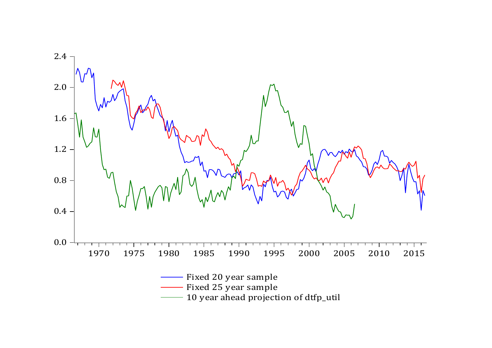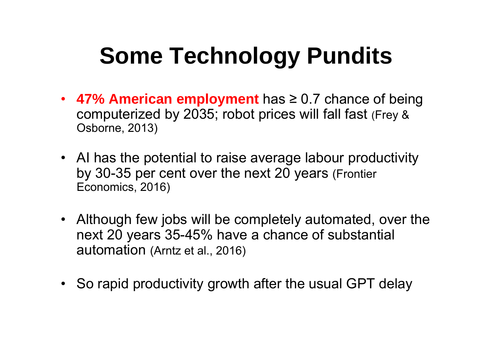## **Some Technology Pundits**

- **47% American employment** has <sup>≥</sup> 0.7 chance of being computerized by 2035; robot prices will fall fast (Frey & Osborne, 2013)
- AI has the potential to raise average labour productivity by 30-35 per cent over the next 20 years (Frontier Economics, 2016)
- Although few jobs will be completely automated, over the next 20 years 35-45% have a chance of substantial automation (Arntz et al., 2016)
- So rapid productivity growth after the usual GPT delay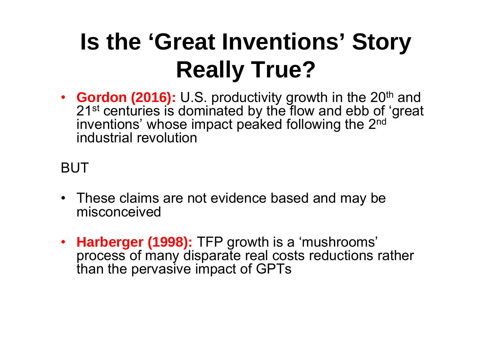# **Is the 'Great Inventions' Story Really True?**

• **Gordon (2016):** U.S. productivity growth in the 20<sup>th</sup> and 21<sup>st</sup> centuries is dominated by the flow and ebb of 'great inventions' whose impact peaked following the 2nd industrial revolution

#### BUT

- These claims are not evidence based and may be misconceived
- **Harberger (1998):** TFP growth is a 'mushrooms' process of many disparate real costs reductions rather than the pervasive impact of GPTs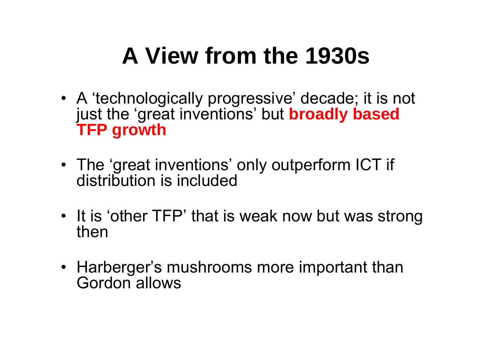### **A View from the 1930s**

- A 'technologically progressive' decade; it is not just the 'great inventions' but **broadly based TFP growth**
- The 'great inventions' only outperform ICT if distribution is included
- It is 'other TFP' that is weak now but was strong then
- Harberger's mushrooms more important than Gordon allows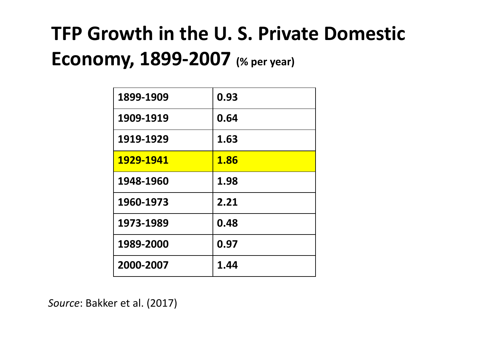### **TFP Growth in the U. S. Private Domestic Economy, 1899‐2007 (% per year)**

| 1899-1909 | 0.93 |
|-----------|------|
| 1909-1919 | 0.64 |
| 1919-1929 | 1.63 |
| 1929-1941 | 1.86 |
| 1948-1960 | 1.98 |
| 1960-1973 | 2.21 |
| 1973-1989 | 0.48 |
| 1989-2000 | 0.97 |
| 2000-2007 | 1.44 |

*Source*: Bakker et al. (2017)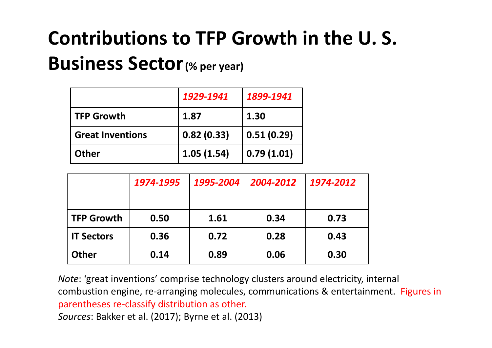### **Contributions to TFP Growth in the U. S.**

#### **Business Sector(% per year)**

|                         | 1929-1941  | 1899-1941  |
|-------------------------|------------|------------|
| <b>TFP Growth</b>       | 1.87       | 1.30       |
| <b>Great Inventions</b> | 0.82(0.33) | 0.51(0.29) |
| <b>Other</b>            | 1.05(1.54) | 0.79(1.01) |

|                   | 1974-1995 | 1995-2004 | 2004-2012 | 1974-2012 |
|-------------------|-----------|-----------|-----------|-----------|
| <b>TFP Growth</b> | 0.50      | 1.61      | 0.34      | 0.73      |
| <b>IT Sectors</b> | 0.36      | 0.72      | 0.28      | 0.43      |
| <b>Other</b>      | 0.14      | 0.89      | 0.06      | 0.30      |

*Note*: 'great inventions' comprise technology clusters around electricity, internal combustion engine, re‐arranging molecules, communications & entertainment. Figures in parentheses re‐classify distribution as other. *Sources*: Bakker et al. (2017); Byrne et al. (2013)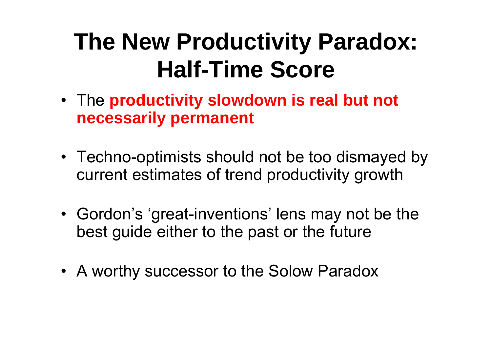### **The New Productivity Paradox: Half-Time Score**

- The **productivity slowdown is real but not necessarily permanent**
- Techno-optimists should not be too dismayed by current estimates of trend productivity growth
- Gordon's 'great-inventions' lens may not be the best guide either to the past or the future
- A worthy successor to the Solow Paradox